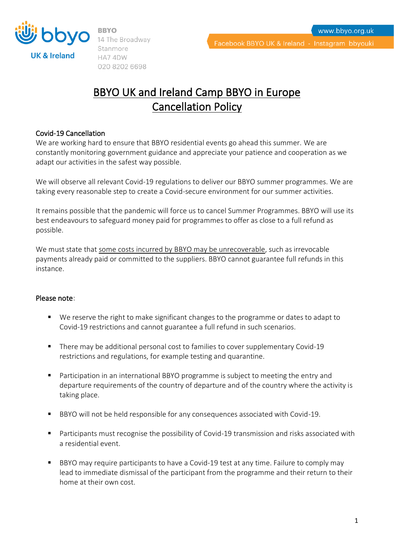

UK & Ireland

14 The Broadway Stanmore HA74DW 020 8202 6698

Facebook BBYO UK & Ireland - Instagram bbyouki

# BBYO UK and Ireland Camp BBYO in Europe Cancellation Policy

### Covid-19 Cancellation

We are working hard to ensure that BBYO residential events go ahead this summer. We are constantly monitoring government guidance and appreciate your patience and cooperation as we adapt our activities in the safest way possible.

We will observe all relevant Covid-19 regulations to deliver our BBYO summer programmes. We are taking every reasonable step to create a Covid-secure environment for our summer activities.

It remains possible that the pandemic will force us to cancel Summer Programmes. BBYO will use its best endeavours to safeguard money paid for programmes to offer as close to a full refund as possible.

We must state that some costs incurred by BBYO may be unrecoverable, such as irrevocable payments already paid or committed to the suppliers. BBYO cannot guarantee full refunds in this instance.

### Please note:

- We reserve the right to make significant changes to the programme or dates to adapt to Covid-19 restrictions and cannot guarantee a full refund in such scenarios.
- There may be additional personal cost to families to cover supplementary Covid-19 restrictions and regulations, for example testing and quarantine.
- Participation in an international BBYO programme is subject to meeting the entry and departure requirements of the country of departure and of the country where the activity is taking place.
- BBYO will not be held responsible for any consequences associated with Covid-19.
- Participants must recognise the possibility of Covid-19 transmission and risks associated with a residential event.
- BBYO may require participants to have a Covid-19 test at any time. Failure to comply may lead to immediate dismissal of the participant from the programme and their return to their home at their own cost.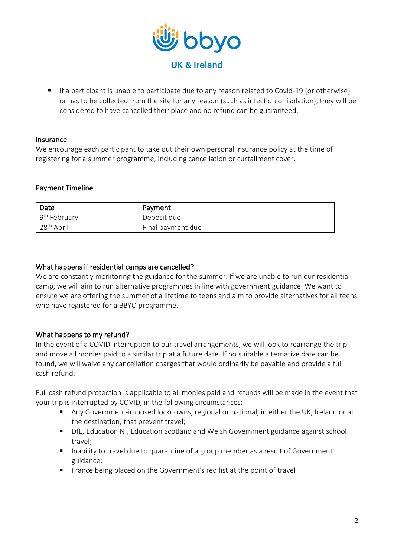

■ If a participant is unable to participate due to any reason related to Covid-19 (or otherwise) or has to be collected from the site for any reason (such as infection or isolation), they will be considered to have cancelled their place and no refund can be guaranteed.

#### Insurance

We encourage each participant to take out their own personal insurance policy at the time of registering for a summer programme, including cancellation or curtailment cover.

### Payment Timeline

| ' Date         | Payment           |
|----------------|-------------------|
| $9th$ February | Deposit due       |
| $28th$ April   | Final payment due |

### What happens if residential camps are cancelled?

We are constantly monitoring the guidance for the summer. If we are unable to run our residential camp, we will aim to run alternative programmes in line with government guidance. We want to ensure we are offering the summer of a lifetime to teens and aim to provide alternatives for all teens who have registered for a BBYO programme.

### What happens to my refund?

In the event of a COVID interruption to our travel arrangements, we will look to rearrange the trip and move all monies paid to a similar trip at a future date. If no suitable alternative date can be found, we will waive any cancellation charges that would ordinarily be payable and provide a full cash refund.

Full cash refund protection is applicable to all monies paid and refunds will be made in the event that your trip is interrupted by COVID, in the following circumstances:

- Any Government-imposed lockdowns, regional or national, in either the UK, Ireland or at the destination, that prevent travel;
- DfE, Education NI, Education Scotland and Welsh Government guidance against school travel;
- Inability to travel due to quarantine of a group member as a result of Government guidance;
- France being placed on the Government's red list at the point of travel